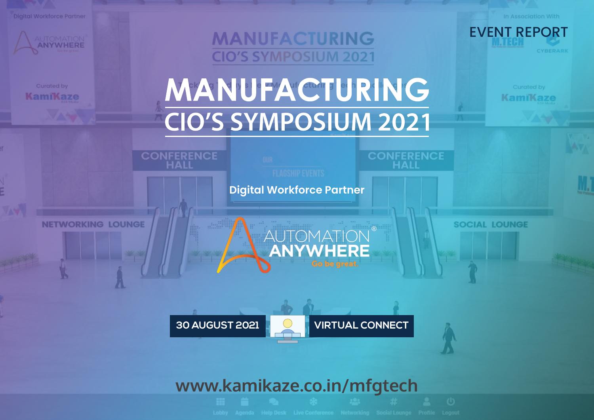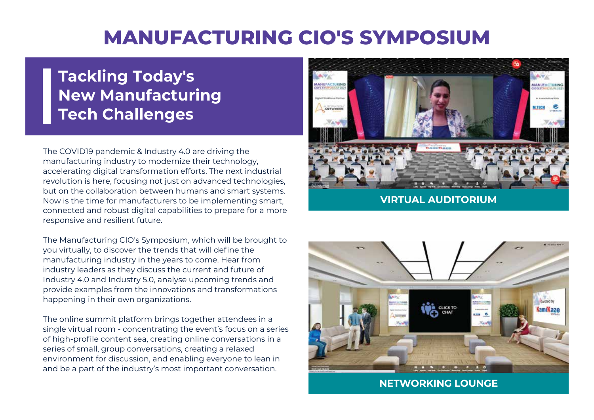# **MANUFACTURING CIO'S SYMPOSIUM**

## **Tackling Today's New Manufacturing Tech Challenges**

The COVID19 pandemic & Industry 4.0 are driving the manufacturing industry to modernize their technology, accelerating digital transformation efforts. The next industrial revolution is here, focusing not just on advanced technologies, but on the collaboration between humans and smart systems. Now is the time for manufacturers to be implementing smart, connected and robust digital capabilities to prepare for a more responsive and resilient future.

The Manufacturing CIO's Symposium, which will be brought to you virtually, to discover the trends that will define the manufacturing industry in the years to come. Hear from industry leaders as they discuss the current and future of Industry 4.0 and Industry 5.0, analyse upcoming trends and provide examples from the innovations and transformations happening in their own organizations.

The online summit platform brings together attendees in a single virtual room - concentrating the event's focus on a series of high-profile content sea, creating online conversations in a series of small, group conversations, creating a relaxed environment for discussion, and enabling everyone to lean in and be a part of the industry's most important conversation.



**VIRTUAL AUDITORIUM**



**NETWORKING LOUNGE**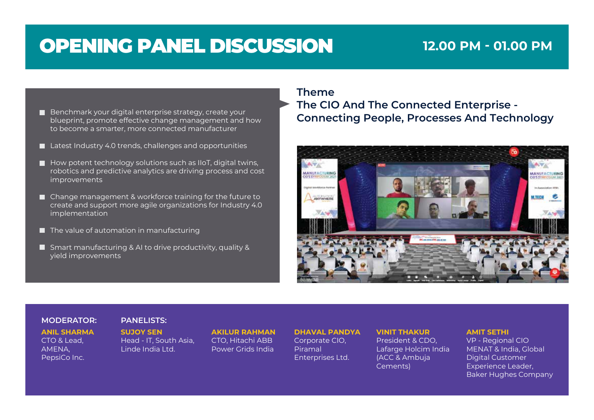# OPENING PANEL DISCUSSION **12.00 PM - 01.00 PM**

- blueprint, promote effective change management and how to become a smarter, more connected manufacturer
- Latest Industry 4.0 trends, challenges and opportunities
- $\blacksquare$  How potent technology solutions such as IIoT, digital twins, robotics and predictive analytics are driving process and cost improvements
- Change management & workforce training for the future to create and support more agile organizations for Industry 4.0 implementation
- $\blacksquare$  The value of automation in manufacturing
- Smart manufacturing & AI to drive productivity, quality & yield improvements

### **Theme**

**The CIO And The Connected Enterprise - Connecting People, Processes And Technology Benchmark your** digital enterprise strategy, create your **connecting People, Processes And Technology** 



### **MODERATOR: PANELISTS:**

**ANIL SHARMA** CTO & Lead, AMENA, PepsiCo Inc.

**SUJOY SEN** Head - IT, South Asia, Linde India Ltd.

**AKILUR RAHMAN** CTO, Hitachi ABB Power Grids India

### **DHAVAL PANDYA**

Corporate CIO, Piramal Enterprises Ltd.

### **VINIT THAKUR**

President & CDO, Lafarge Holcim India (ACC & Ambuja Cements)

### **AMIT SETHI**

VP - Regional CIO MENAT & India, Global Digital Customer Experience Leader, Baker Hughes Company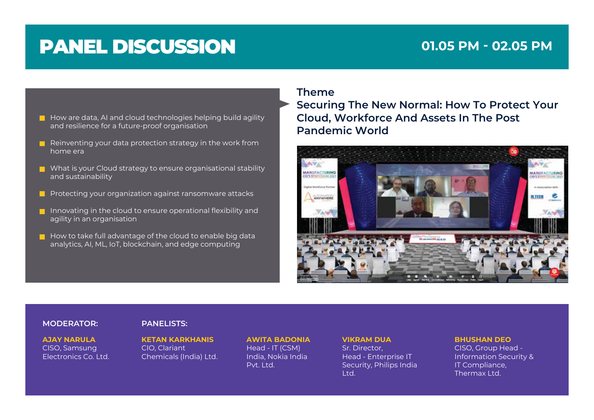## **01.05 PM - 02.05 PM**

- $\blacksquare$  How are data, AI and cloud technologies helping build agility and resilience for a future-proof organisation
- Reinventing your data protection strategy in the work from home era
- $\blacksquare$  What is your Cloud strategy to ensure organisational stability and sustainability
- **P** Protecting your organization against ransomware attacks
- Innovating in the cloud to ensure operational flexibility and agility in an organisation
- $\blacksquare$  How to take full advantage of the cloud to enable big data analytics, AI, ML, IoT, blockchain, and edge computing

### **Theme**

**Securing The New Normal: How To Protect Your Cloud, Workforce And Assets In The Post Pandemic World**



### **MODERATOR: PANELISTS:**

**AJAY NARULA** CISO, Samsung Electronics Co. Ltd. **KETAN KARKHANIS** CIO, Clariant Chemicals (India) Ltd. **AWITA BADONIA** Head - IT (CSM) India, Nokia India Pvt. Ltd.

**VIKRAM DUA** Sr. Director, Head - Enterprise IT Security, Philips India Ltd.

**BHUSHAN DEO** CISO, Group Head - Information Security & IT Compliance, Thermax Ltd.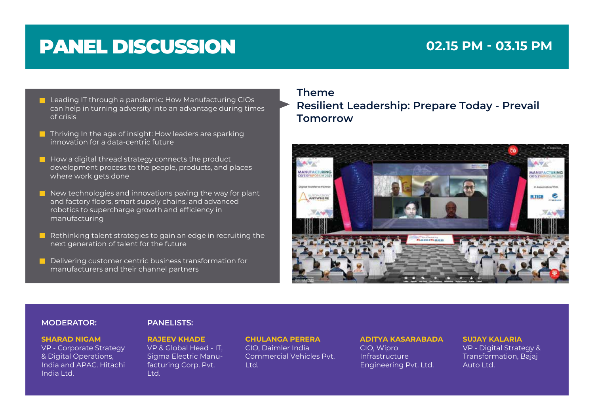## **02.15 PM - 03.15 PM**

- **Leading IT through a pandemic: How Manufacturing CIOs** can help in turning adversity into an advantage during times of crisis
- $\blacksquare$  Thriving In the age of insight: How leaders are sparking innovation for a data-centric future
- $\blacksquare$  How a digital thread strategy connects the product development process to the people, products, and places where work gets done
- $\blacksquare$  New technologies and innovations paving the way for plant and factory floors, smart supply chains, and advanced robotics to supercharge growth and efficiency in manufacturing
- Rethinking talent strategies to gain an edge in recruiting the next generation of talent for the future
- Delivering customer centric business transformation for manufacturers and their channel partners

**Theme Resilient Leadership: Prepare Today - Prevail Tomorrow**



### **MODERATOR: PANELISTS:**

### **SHARAD NIGAM**

VP - Corporate Strategy & Digital Operations, India and APAC. Hitachi India Ltd.

**RAJEEV KHADE** VP & Global Head - IT, Sigma Electric Manufacturing Corp. Pvt. Ltd.

**CHULANGA PERERA** CIO, Daimler India Commercial Vehicles Pvt. Ltd.

## **ADITYA KASARABADA**

CIO, Wipro Infrastructure Engineering Pvt. Ltd.

### **SUJAY KALARIA** VP - Digital Strategy & Transformation, Bajaj Auto Ltd.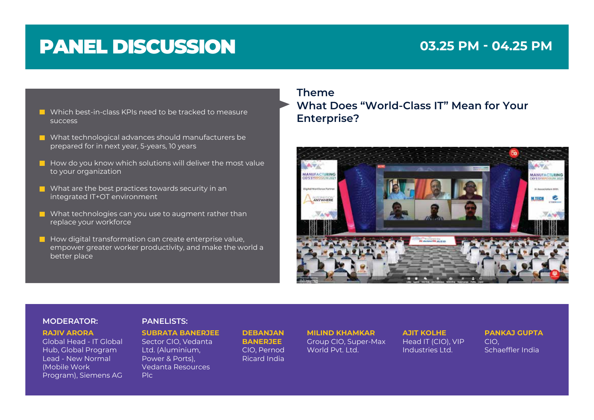## **03.25 PM - 04.25 PM**

- **E** Which best-in-class KPIs need to be tracked to measure<br> **Enterprise?** success
- What technological advances should manufacturers be prepared for in next year, 5-years, 10 years
- $\blacksquare$  How do you know which solutions will deliver the most value to your organization
- $\blacksquare$  What are the best practices towards security in an integrated IT+OT environment
- What technologies can you use to augment rather than replace your workforce
- $\blacksquare$  How digital transformation can create enterprise value, empower greater worker productivity, and make the world a better place

**Theme What Does "World-Class IT" Mean for Your**



### **MODERATOR: PANELISTS:**

### **RAJIV ARORA**

Global Head - IT Global Hub, Global Program Lead - New Normal (Mobile Work Program), Siemens AG

**SUBRATA BANERJEE** Sector CIO, Vedanta Ltd. (Aluminium, Power & Ports), Vedanta Resources Plc

**DEBANJAN BANERJEE** CIO, Pernod Ricard India **MILIND KHAMKAR** Group CIO, Super-Max World Pvt. Ltd.

**AJIT KOLHE** Head IT (CIO), VIP Industries Ltd.

**PANKAJ GUPTA** CIO, Schaeffler India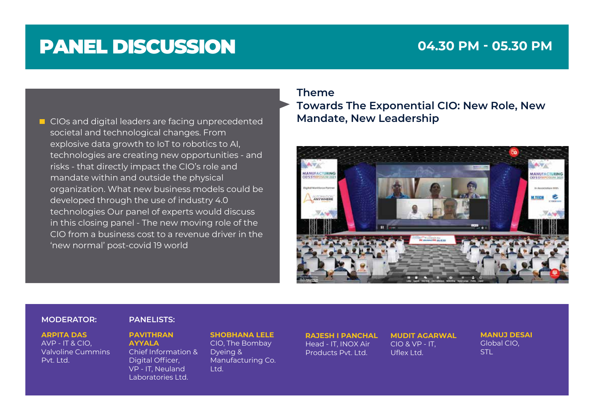## **04.30 PM - 05.30 PM**

**E** CIOs and digital leaders are facing unprecedented **Mandate, New Leadership** societal and technological changes. From explosive data growth to IoT to robotics to AI, technologies are creating new opportunities - and risks - that directly impact the CIO's role and mandate within and outside the physical organization. What new business models could be developed through the use of industry 4.0 technologies Our panel of experts would discuss in this closing panel - The new moving role of the CIO from a business cost to a revenue driver in the 'new normal' post-covid 19 world

### **Theme**

**Towards The Exponential CIO: New Role, New** 



### **MODERATOR: PANELISTS:**

### **ARPITA DAS**

AVP - IT & CIO, Valvoline Cummins Pvt. Ltd.

**PAVITHRAN AYYALA** Chief Information & Digital Officer, VP - IT, Neuland Laboratories Ltd.

**SHOBHANA LELE** CIO, The Bombay Dyeing & Manufacturing Co. Ltd.

**RAJESH I PANCHAL** Head - IT, INOX Air Products Pvt. Ltd.

**MUDIT AGARWAL** CIO & VP - IT, Uflex Ltd.

**MANUJ DESAI** Global CIO, STL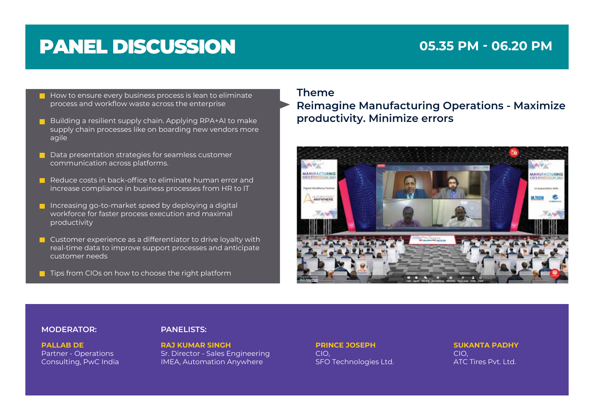## **05.35 PM - 06.20 PM**

- $\blacksquare$  How to ensure every business process is lean to eliminate process and workflow waste across the enterprise
- Building a resilient supply chain. Applying RPA+AI to make supply chain processes like on boarding new vendors more agile
- Data presentation strategies for seamless customer communication across platforms.
- Reduce costs in back-office to eliminate human error and increase compliance in business processes from HR to IT
- Increasing go-to-market speed by deploying a digital workforce for faster process execution and maximal productivity
- **Customer experience as a differentiator to drive loyalty with** real-time data to improve support processes and anticipate customer needs
- **T** Tips from CIOs on how to choose the right platform

### **Theme**

**Reimagine Manufacturing Operations - Maximize productivity. Minimize errors**



### **MODERATOR: PANELISTS:**

**PALLAB DE** Partner - Operations Consulting, PwC India

**RAJ KUMAR SINGH** Sr. Director - Sales Engineering IMEA, Automation Anywhere

**PRINCE JOSEPH** CIO, SFO Technologies Ltd. **SUKANTA PADHY** CIO, ATC Tires Pvt. Ltd.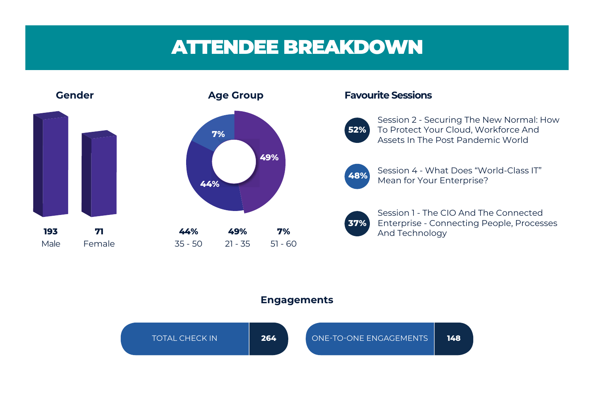# ATTENDEE BREAKDOWN



### **Engagements**

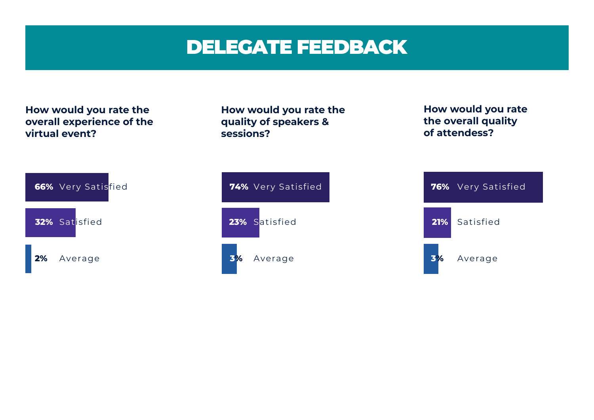# DELEGATE FEEDBACK

**How would you rate the** 

**quality of speakers &** 

**sessions?**

**How would you rate the overall experience of the virtual event?**





**How would you rate the overall quality of attendess?**